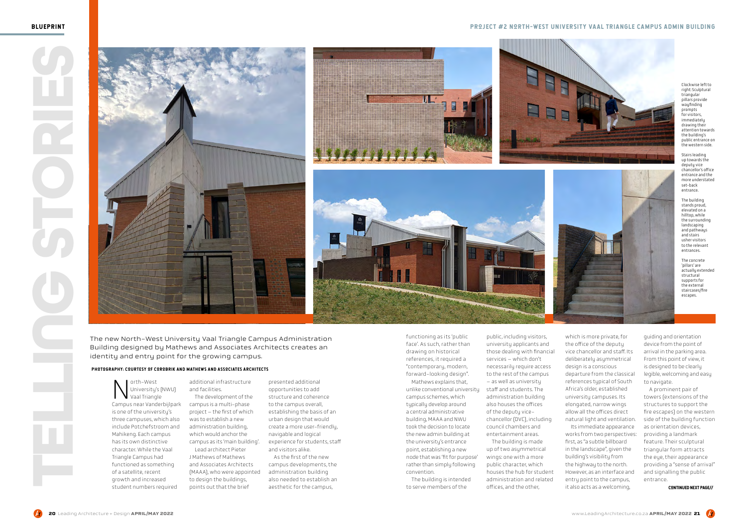# BLUEPRINT PROJECT #2 NORTH-WEST UNIVERSITY VAAL TRIANGLE CAMPUS ADMIN BUILDING

The new North-West University Vaal Triangle Campus Administration Building designed by Mathews and Associates Architects creates an identity and entry point for the growing campus.

North-West Campus near Vanderbijlpark Vaal Triangle is one of the university's three campuses, which also include Potchefstroom and Mahikeng. Each campus has its own distinctive character. While the Vaal Triangle Campus had functioned as something of a satellite, recent growth and increased student numbers required

functioning as its 'public face'. As such, rather than drawing on historical references, it required a "contemporary, modern, forward-looking design".

Mathews explains that, unlike conventional university campus schemes, which typically develop around a central administrative building, MAAA and NWU took the decision to locate the new admin building at the university's entrance point, establishing a new node that was 'fit for purpose' rather than simply following convention.

The building is intended to serve members of the

public, including visitors, university applicants and those dealing with financial services – which don't necessarily require access to the rest of the campus – as well as university staff and students. The administration building also houses the offices of the deputy vicechancellor (DVC), including council chambers and entertainment areas.







The building is made up of two asymmetrical wings: one with a more public character, which houses the hub for student administration and related offices, and the other,





which is more private, for the office of the deputy vice chancellor and staff. Its deliberately asymmetrical design is a conscious departure from the classical references typical of South Africa's older, established university campuses. Its elongated, narrow wings allow all the offices direct natural light and ventilation.

Its immediate appearance works from two perspectives: first, as "a subtle billboard in the landscape", given the building's visibility from the highway to the north. However, as an interface and entry point to the campus, it also acts as a welcoming,

Clockwise left to right: Sculptural triangular pillars provide .<br>waufinding prompts for visitors, immediately drawing their attention towards the building's public entrance on the western side.

Stairs leading up towards the deputy vice chancellor's office entrance and the more understated set-back entrance.

The building stands proud, elevated on a hilltop, while the surrounding landscaping and pathways and stairs usher visitors to the relevant entrances.

The concrete 'pillars' are actually extended structural supports for the external staircases/fire escapes.

## Continued next page//



The development of the campus is a multi-phase project – the first of which was to establish a new administration building, which would anchor the campus as its 'main building'. Lead architect Pieter J Mathews of Mathews and Associates Architects (MAAA), who were appointed to design the buildings,

points out that the brief

presented additional opportunities to add structure and coherence to the campus overall, establishing the basis of an urban design that would create a more user-friendly, navigable and logical experience for students, staff and visitors alike.

As the first of the new campus developments, the administration building also needed to establish an aesthetic for the campus,

guiding and orientation device from the point of arrival in the parking area. From this point of view, it is designed to be clearly legible, welcoming and easy to navigate.

A prominent pair of towers (extensions of the structures to support the fire escapes) on the western side of the building function as orientation devices, providing a landmark feature. Their sculptural triangular form attracts the eye, their appearance providing a "sense of arrival" and signalling the public entrance.